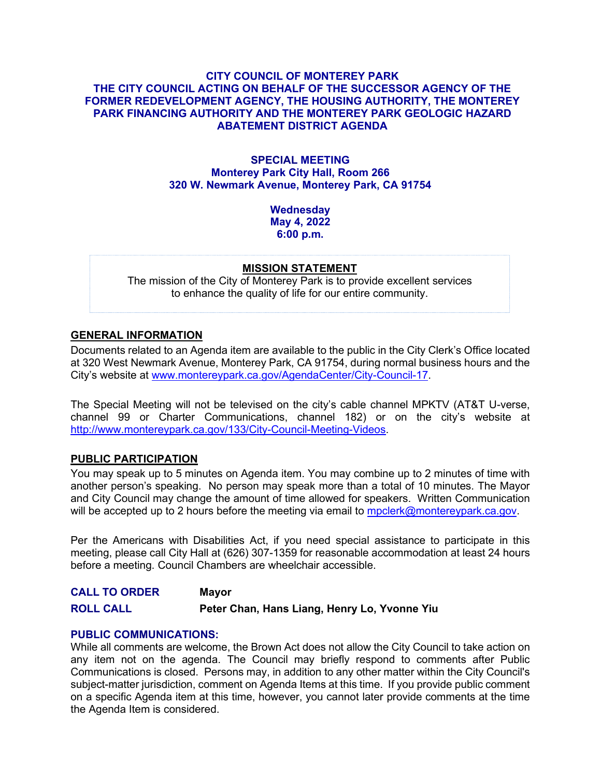## **CITY COUNCIL OF MONTEREY PARK THE CITY COUNCIL ACTING ON BEHALF OF THE SUCCESSOR AGENCY OF THE FORMER REDEVELOPMENT AGENCY, THE HOUSING AUTHORITY, THE MONTEREY PARK FINANCING AUTHORITY AND THE MONTEREY PARK GEOLOGIC HAZARD ABATEMENT DISTRICT AGENDA**

## **SPECIAL MEETING Monterey Park City Hall, Room 266 320 W. Newmark Avenue, Monterey Park, CA 91754**

**Wednesday May 4, 2022 6:00 p.m.**

#### **MISSION STATEMENT**

The mission of the City of Monterey Park is to provide excellent services to enhance the quality of life for our entire community.

# **GENERAL INFORMATION**

Documents related to an Agenda item are available to the public in the City Clerk's Office located at 320 West Newmark Avenue, Monterey Park, CA 91754, during normal business hours and the City's website at [www.montereypark.ca.gov/AgendaCenter/City-Council-17.](http://www.montereypark.ca.gov/AgendaCenter/City-Council-17)

The Special Meeting will not be televised on the city's cable channel MPKTV (AT&T U-verse, channel 99 or Charter Communications, channel 182) or on the city's website at [http://www.montereypark.ca.gov/133/City-Council-Meeting-Videos.](http://www.montereypark.ca.gov/133/City-Council-Meeting-Videos)

#### **PUBLIC PARTICIPATION**

You may speak up to 5 minutes on Agenda item. You may combine up to 2 minutes of time with another person's speaking. No person may speak more than a total of 10 minutes. The Mayor and City Council may change the amount of time allowed for speakers. Written Communication will be accepted up to 2 hours before the meeting via email to [mpclerk@montereypark.ca.gov.](mailto:mpclerk@montereypark.ca.gov)

Per the Americans with Disabilities Act, if you need special assistance to participate in this meeting, please call City Hall at (626) 307-1359 for reasonable accommodation at least 24 hours before a meeting. Council Chambers are wheelchair accessible.

**CALL TO ORDER Mayor ROLL CALL Peter Chan, Hans Liang, Henry Lo, Yvonne Yiu**

#### **PUBLIC COMMUNICATIONS:**

While all comments are welcome, the Brown Act does not allow the City Council to take action on any item not on the agenda. The Council may briefly respond to comments after Public Communications is closed. Persons may, in addition to any other matter within the City Council's subject-matter jurisdiction, comment on Agenda Items at this time. If you provide public comment on a specific Agenda item at this time, however, you cannot later provide comments at the time the Agenda Item is considered.